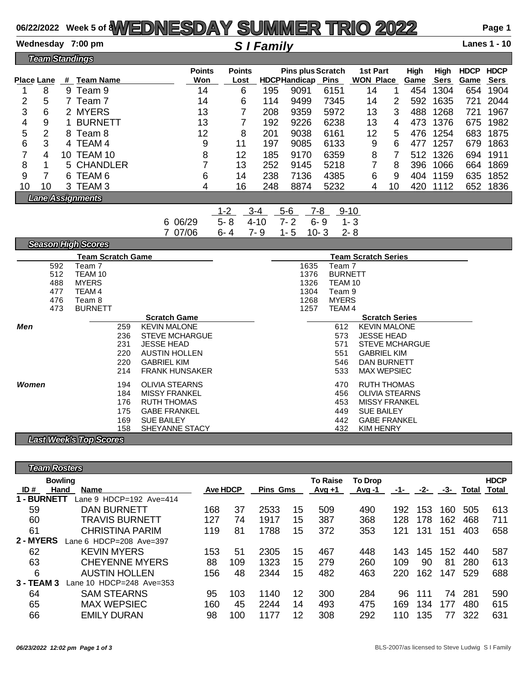### **06/22/2022 Week 5 of 8WEDNESDAY SUMMER TRIO 2022 Page 1**

**Wednesday 7:00 pm** *S I Family* **Lanes 1 - 10**

|    | <b>Team Standings</b>   |    |                  |                      |                       |     |                                                 |             |                              |    |              |                     |                     |                            |
|----|-------------------------|----|------------------|----------------------|-----------------------|-----|-------------------------------------------------|-------------|------------------------------|----|--------------|---------------------|---------------------|----------------------------|
|    | Place Lane              | #  | <b>Team Name</b> | <b>Points</b><br>Won | <b>Points</b><br>Lost |     | <b>Pins plus Scratch</b><br><b>HDCPHandicap</b> | <b>Pins</b> | 1st Part<br><b>WON Place</b> |    | High<br>Game | High<br><b>Sers</b> | <b>HDCP</b><br>Game | <b>HDCP</b><br><b>Sers</b> |
|    | 8                       | 9  | Team 9           | 14                   | 6                     | 195 | 9091                                            | 6151        | 14                           |    | 454          | 1304                | 654                 | 1904                       |
| 2  | 5                       |    | Team 7           | 14                   | 6                     | 114 | 9499                                            | 7345        | 14                           | 2  | 592          | 1635                | 721                 | 2044                       |
| 3  | 6                       |    | 2 MYERS          | 13                   |                       | 208 | 9359                                            | 5972        | 13                           | 3  | 488          | 1268                | 721                 | 1967                       |
| 4  | 9                       |    | <b>BURNETT</b>   | 13                   |                       | 192 | 9226                                            | 6238        | 13                           | 4  | 473          | 1376                | 675                 | 1982                       |
| 5  | 2                       |    | 8 Team 8         | 12                   | 8                     | 201 | 9038                                            | 6161        | 12                           | 5  | 476          | 1254                | 683                 | 1875                       |
| 6  | 3                       |    | 4 TEAM 4         | 9                    | 11                    | 197 | 9085                                            | 6133        | 9                            | 6  | 477          | 1257                | 679                 | 1863                       |
|    | 4                       | 10 | TEAM 10          | 8                    | 12                    | 185 | 9170                                            | 6359        | 8                            |    | 512          | 1326                | 694                 | 1911                       |
| 8  | 1                       |    | 5 CHANDLER       | 7                    | 13                    | 252 | 9145                                            | 5218        | 7                            | 8  | 396          | 1066                | 664                 | 1869                       |
| 9  |                         | 6. | TEAM 6           | 6                    | 14                    | 238 | 7136                                            | 4385        | 6                            | 9  | 404          | 1159                | 635                 | 1852                       |
| 10 | 10                      |    | 3 TEAM 3         | 4                    | 16                    | 248 | 8874                                            | 5232        | 4                            | 10 | 420          | 1112                | 652                 | 1836                       |
|    | <b>Lane Assignments</b> |    |                  |                      |                       |     |                                                 |             |                              |    |              |                     |                     |                            |

1-2 3-4 5-6 7-8 9-10 6 06/29 5- 8 4-10 7- 2 6- 9 1- 3 7 07/06 6- 4 7- 9 1- 5 10- 3 2- 8

| <b>SEESON FIRM SCORES</b>             |                            |
|---------------------------------------|----------------------------|
| <b>Team Scratch Game</b>              | <b>Team Scratch Series</b> |
| 592                                   | 1635                       |
| Team 7                                | Team 7                     |
| 512                                   | 1376                       |
| TEAM 10                               | <b>BURNETT</b>             |
| <b>MYERS</b>                          | TEAM 10                    |
| 488                                   | 1326                       |
| 477                                   | 1304                       |
| TEAM 4                                | Team 9                     |
| 476                                   | <b>MYERS</b>               |
| Team 8                                | 1268                       |
| 473                                   | 1257                       |
| <b>BURNETT</b>                        | TEAM 4                     |
| <b>Scratch Game</b>                   | <b>Scratch Series</b>      |
| Men<br><b>KEVIN MALONE</b><br>259     | <b>KEVIN MALONE</b><br>612 |
| <b>STEVE MCHARGUE</b>                 | <b>JESSE HEAD</b>          |
| 236                                   | 573                        |
| 231                                   | <b>STEVE MCHARGUE</b>      |
| <b>JESSE HEAD</b>                     | 571                        |
| <b>AUSTIN HOLLEN</b>                  | <b>GABRIEL KIM</b>         |
| 220                                   | 551                        |
| 220                                   | 546                        |
| <b>GABRIEL KIM</b>                    | <b>DAN BURNETT</b>         |
| 214                                   | 533                        |
| <b>FRANK HUNSAKER</b>                 | <b>MAX WEPSIEC</b>         |
| <b>OLIVIA STEARNS</b><br>Women<br>194 | <b>RUTH THOMAS</b><br>470  |
| <b>MISSY FRANKEL</b>                  | <b>OLIVIA STEARNS</b>      |
| 184                                   | 456                        |
| 176                                   | <b>MISSY FRANKEL</b>       |
| <b>RUTH THOMAS</b>                    | 453                        |
| 175                                   | <b>SUE BAILEY</b>          |
| <b>GABE FRANKEL</b>                   | 449                        |
|                                       |                            |
| 169                                   | <b>GABE FRANKEL</b>        |
| <b>SUE BAILEY</b>                     | 442                        |
| 158                                   | <b>KIM HENRY</b>           |
| SHEYANNE STACY                        | 432                        |
| <b>Last Week's Top Scores</b>         |                            |

*Team Rosters* **Bowling To Raise To Drop HDCP ID # Hand Name Ave HDCP Pins Gms Avg +1 Avg -1 -1- -2- -3- Total Total 1 - BURNETT** Lane 9 HDCP=192 Ave=414 DAN BURNETT 168 37 2533 15 509 490 192 153 160 505 613 TRAVIS BURNETT 127 74 1917 15 387 368 128 178 162 468 711 CHRISTINA PARIM 119 81 1788 15 372 353 121 131 151 403 658 **2 - MYERS** Lane 6 HDCP=208 Ave=397 KEVIN MYERS 153 51 2305 15 467 448 143 145 152 440 587 CHEYENNE MYERS 88 109 1323 15 279 260 109 90 81 280 613 AUSTIN HOLLEN 156 48 2344 15 482 463 220 162 147 529 688 **3 - TEAM 3** Lane 10 HDCP=248 Ave=353 SAM STEARNS 95 103 1140 12 300 284 96 111 74 281 590 MAX WEPSIEC 160 45 2244 14 493 475 169 134 177 480 615 EMILY DURAN 98 100 1177 12 308 292 110 135 77 322 631

*Season High Scores*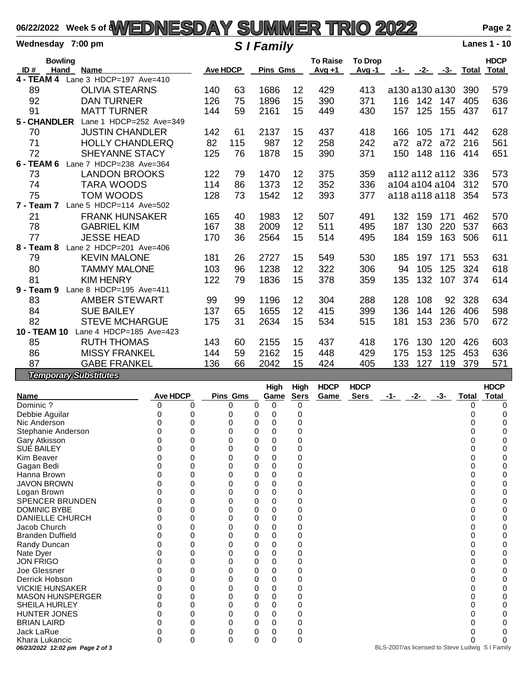# **06/22/2022 Week 5 of 8WEDNESDAY SUMMER TRIO 2022 Page 2**

|                     | Wednesday 7:00 pm                     |                 | <b>S</b> I Family |                 |    |                             |                         |                    |                   |             |         | <b>Lanes 1 - 10</b>         |
|---------------------|---------------------------------------|-----------------|-------------------|-----------------|----|-----------------------------|-------------------------|--------------------|-------------------|-------------|---------|-----------------------------|
| ID#                 | <b>Bowling</b><br>Hand<br><b>Name</b> | <b>Ave HDCP</b> |                   | <b>Pins Gms</b> |    | <b>To Raise</b><br>$Avg +1$ | <b>To Drop</b><br>Avg-1 |                    | -1- -2- -3- Total |             |         | <b>HDCP</b><br><b>Total</b> |
| <b>4 - TEAM 4</b>   | Lane 3 HDCP=197 Ave=410               |                 |                   |                 |    |                             |                         |                    |                   |             |         |                             |
| 89                  | <b>OLIVIA STEARNS</b>                 | 140             | 63                | 1686            | 12 | 429                         | 413                     | a130 a130 a130     |                   |             | 390     | 579                         |
| 92                  | <b>DAN TURNER</b>                     | 126             | 75                | 1896            | 15 | 390                         | 371                     | 116                | 142 147           |             | 405     | 636                         |
| 91                  | <b>MATT TURNER</b>                    | 144             | 59                | 2161            | 15 | 449                         | 430                     | 157                | 125               | 155         | 437     | 617                         |
| 5 - CHANDLER        | Lane 1 HDCP=252 Ave=349               |                 |                   |                 |    |                             |                         |                    |                   |             |         |                             |
| 70                  | <b>JUSTIN CHANDLER</b>                | 142             | 61                | 2137            | 15 | 437                         | 418                     | 166                | 105               | 171         | 442     | 628                         |
| 71                  | <b>HOLLY CHANDLERQ</b>                | 82              | 115               | 987             | 12 | 258                         | 242                     | a72                | a72               | a72         | 216     | 561                         |
| 72                  | <b>SHEYANNE STACY</b>                 | 125             | 76                | 1878            | 15 | 390                         | 371                     | 150                |                   | 148 116 414 |         | 651                         |
| 6 - TEAM 6          | Lane 7 HDCP=238 Ave=364               |                 |                   |                 |    |                             |                         |                    |                   |             |         |                             |
| 73                  | <b>LANDON BROOKS</b>                  | 122             | 79                | 1470            | 12 | 375                         | 359                     | a112 a112 a112 336 |                   |             |         | 573                         |
| 74                  | <b>TARA WOODS</b>                     | 114             | 86                | 1373            | 12 | 352                         | 336                     | a104 a104 a104     |                   |             | 312     | 570                         |
| 75                  | TOM WOODS                             | 128             | 73                | 1542            | 12 | 393                         | 377                     | a118 a118 a118     |                   |             | 354     | 573                         |
| 7 - Team 7          | Lane 5 HDCP=114 Ave=502               |                 |                   |                 |    |                             |                         |                    |                   |             |         |                             |
| 21                  | <b>FRANK HUNSAKER</b>                 | 165             | 40                | 1983            | 12 | 507                         | 491                     | 132                | 159               | 171         | 462     | 570                         |
| 78                  | <b>GABRIEL KIM</b>                    | 167             | 38                | 2009            | 12 | 511                         | 495                     | 187                | 130               | 220         | 537     | 663                         |
| 77                  | <b>JESSE HEAD</b>                     | 170             | 36                | 2564            | 15 | 514                         | 495                     | 184                | 159               | 163         | 506     | 611                         |
| 8 - Team 8          | Lane 2 HDCP=201 Ave=406               |                 |                   |                 |    |                             |                         |                    |                   |             |         |                             |
| 79                  | <b>KEVIN MALONE</b>                   | 181             | 26                | 2727            | 15 | 549                         | 530                     | 185                | 197               | 171         | 553     | 631                         |
| 80                  | <b>TAMMY MALONE</b>                   | 103             | 96                | 1238            | 12 | 322                         | 306                     | 94                 | 105               | 125         | 324     | 618                         |
| 81                  | <b>KIM HENRY</b>                      | 122             | 79                | 1836            | 15 | 378                         | 359                     | 135                | 132               |             | 107 374 | 614                         |
| 9 - Team 9          | Lane 8 HDCP=195 Ave=411               |                 |                   |                 |    |                             |                         |                    |                   |             |         |                             |
| 83                  | <b>AMBER STEWART</b>                  | 99              | 99                | 1196            | 12 | 304                         | 288                     | 128                | 108               |             | 92 328  | 634                         |
| 84                  | <b>SUE BAILEY</b>                     | 137             | 65                | 1655            | 12 | 415                         | 399                     | 136                | 144               | 126         | 406     | 598                         |
| 82                  | <b>STEVE MCHARGUE</b>                 | 175             | 31                | 2634            | 15 | 534                         | 515                     | 181                | 153               | 236         | 570     | 672                         |
| <b>10 - TEAM 10</b> | Lane 4 HDCP=185 Ave=423               |                 |                   |                 |    |                             |                         |                    |                   |             |         |                             |
| 85                  | <b>RUTH THOMAS</b>                    | 143             | 60                | 2155            | 15 | 437                         | 418                     | 176                | 130               | 120         | 426     | 603                         |
| 86                  | <b>MISSY FRANKEL</b>                  | 144             | 59                | 2162            | 15 | 448                         | 429                     | 175                | 153               | 125         | 453     | 636                         |
| 87                  | <b>GABE FRANKEL</b>                   | 136             | 66                | 2042            | 15 | 424                         | 405                     | 133                | 127               | 119         | 379     | 571                         |
|                     | <b>Temporary Substitutes</b>          |                 |                   |                 |    |                             |                         |                    |                   |             |         |                             |

|                                 |                 |   |                 |   | <b>High</b> | <b>High</b> | <b>HDCP</b> | <b>HDCP</b> |     |     |     |       | <b>HDCP</b>                                     |
|---------------------------------|-----------------|---|-----------------|---|-------------|-------------|-------------|-------------|-----|-----|-----|-------|-------------------------------------------------|
| <b>Name</b>                     | <b>Ave HDCP</b> |   | <b>Pins Gms</b> |   | Game        | <b>Sers</b> | Game        | <b>Sers</b> | -1- | -2- | -3- | Total | <b>Total</b>                                    |
| Dominic?                        | 0               | 0 | 0               | 0 | 0           | 0           |             |             |     |     |     |       |                                                 |
| Debbie Aguilar                  |                 |   |                 | 0 | 0           |             |             |             |     |     |     |       |                                                 |
| Nic Anderson                    |                 | 0 |                 | 0 | 0           |             |             |             |     |     |     |       |                                                 |
| Stephanie Anderson              |                 | O |                 | 0 | 0           | o           |             |             |     |     |     |       |                                                 |
| Gary Atkisson                   |                 |   |                 | 0 | ი           | 0           |             |             |     |     |     |       |                                                 |
| SUE BAILEY                      |                 | 0 |                 | 0 | 0           | 0           |             |             |     |     |     |       |                                                 |
| Kim Beaver                      |                 | 0 |                 | 0 | O           | 0           |             |             |     |     |     |       | ი                                               |
| Gagan Bedi                      |                 | 0 |                 | 0 | 0           | 0           |             |             |     |     |     |       |                                                 |
| Hanna Brown                     |                 | 0 |                 | 0 | 0           | Ω           |             |             |     |     |     |       |                                                 |
| <b>JAVON BROWN</b>              |                 | 0 |                 | 0 | ი           | 0           |             |             |     |     |     |       |                                                 |
| Logan Brown                     |                 | 0 |                 | 0 | 0           | 0           |             |             |     |     |     |       |                                                 |
| <b>SPENCER BRUNDEN</b>          |                 | 0 |                 | 0 | 0           | 0           |             |             |     |     |     |       |                                                 |
| <b>DOMINIC BYBE</b>             |                 | 0 |                 | 0 | በ           | 0           |             |             |     |     |     |       |                                                 |
| <b>DANIELLE CHURCH</b>          |                 | 0 |                 | 0 | 0           | 0           |             |             |     |     |     |       |                                                 |
| Jacob Church                    |                 | 0 |                 | 0 | O           | 0           |             |             |     |     |     |       |                                                 |
| <b>Branden Duffield</b>         |                 | 0 | 0               | 0 | 0           | 0           |             |             |     |     |     |       |                                                 |
| Randy Duncan                    |                 | 0 | 0               | 0 | 0           | 0           |             |             |     |     |     |       |                                                 |
| Nate Dyer                       |                 | 0 |                 | 0 | ი           | 0           |             |             |     |     |     |       |                                                 |
| <b>JON FRIGO</b>                |                 | 0 | ი               | 0 | 0           | 0           |             |             |     |     |     |       |                                                 |
| Joe Glessner                    |                 | 0 |                 | 0 | 0           | 0           |             |             |     |     |     |       |                                                 |
| Derrick Hobson                  |                 | 0 |                 | 0 | 0           | 0           |             |             |     |     |     |       |                                                 |
| <b>VICKIE HUNSAKER</b>          |                 | 0 |                 | 0 | 0           | 0           |             |             |     |     |     |       |                                                 |
| <b>MASON HUNSPERGER</b>         |                 | 0 |                 | 0 | O           | 0           |             |             |     |     |     |       |                                                 |
| SHEILA HURLEY                   |                 | 0 | 0               | 0 | 0           | 0           |             |             |     |     |     |       |                                                 |
| HUNTER JONES                    |                 | 0 | 0               | 0 | 0           | 0           |             |             |     |     |     |       |                                                 |
| <b>BRIAN LAIRD</b>              |                 | 0 |                 | 0 | U           | 0           |             |             |     |     |     |       |                                                 |
| Jack LaRue                      |                 | 0 | 0               | 0 | 0           | 0           |             |             |     |     |     |       |                                                 |
| Khara Lukancic                  | O               | 0 | $\Omega$        | 0 | $\Omega$    | 0           |             |             |     |     |     |       |                                                 |
| 06/23/2022 12:02 pm Page 2 of 3 |                 |   |                 |   |             |             |             |             |     |     |     |       | BLS-2007/as licensed to Steve Ludwig S I Family |